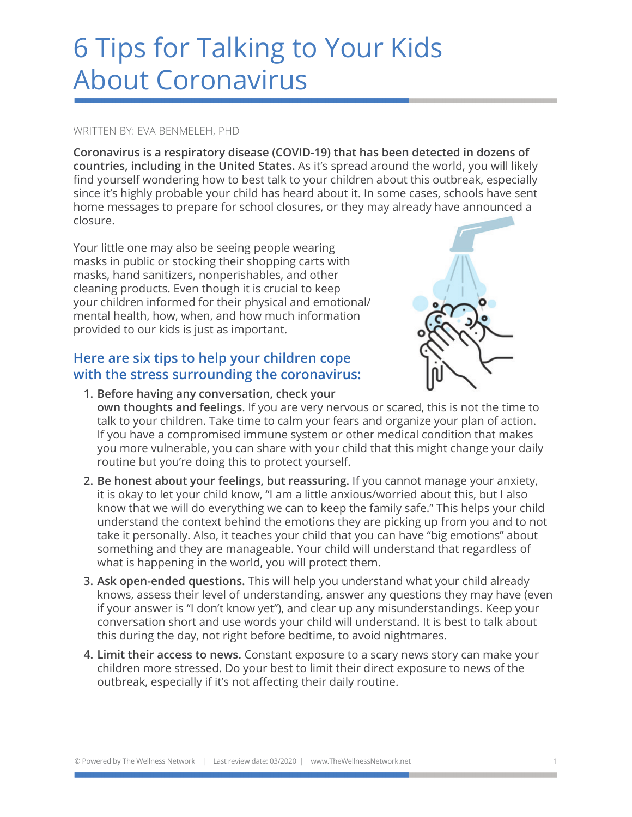# 6 Tips for Talking to Your Kids About Coronavirus

### WRITTEN BY: EVA BENMELEH, PHD

**Coronavirus is a respiratory disease (COVID-19) that has been detected in dozens of countries, including in the United States.** As it's spread around the world, you will likely find yourself wondering how to best talk to your children about this outbreak, especially since it's highly probable your child has heard about it. In some cases, schools have sent home messages to prepare for school closures, or they may already have announced a closure.

Your little one may also be seeing people wearing masks in public or stocking their shopping carts with masks, hand sanitizers, nonperishables, and other cleaning products. Even though it is crucial to keep your children informed for their physical and emotional/ mental health, how, when, and how much information provided to our kids is just as important.

## **Here are six tips to help your children cope with the stress surrounding the coronavirus:**



- **1. Before having any conversation, check your own thoughts and feelings**. If you are very nervous or scared, this is not the time to talk to your children. Take time to calm your fears and organize your plan of action. If you have a compromised immune system or other medical condition that makes you more vulnerable, you can share with your child that this might change your daily routine but you're doing this to protect yourself.
- **2. Be honest about your feelings, but reassuring.** If you cannot manage your anxiety, it is okay to let your child know, "I am a little anxious/worried about this, but I also know that we will do everything we can to keep the family safe." This helps your child understand the context behind the emotions they are picking up from you and to not take it personally. Also, it teaches your child that you can have "big emotions" about something and they are manageable. Your child will understand that regardless of what is happening in the world, you will protect them.
- **3. Ask open-ended questions.** This will help you understand what your child already knows, assess their level of understanding, answer any questions they may have (even if your answer is "I don't know yet"), and clear up any misunderstandings. Keep your conversation short and use words your child will understand. It is best to talk about this during the day, not right before bedtime, to avoid nightmares.
- **4. Limit their access to news.** Constant exposure to a scary news story can make your children more stressed. Do your best to limit their direct exposure to news of the outbreak, especially if it's not affecting their daily routine.